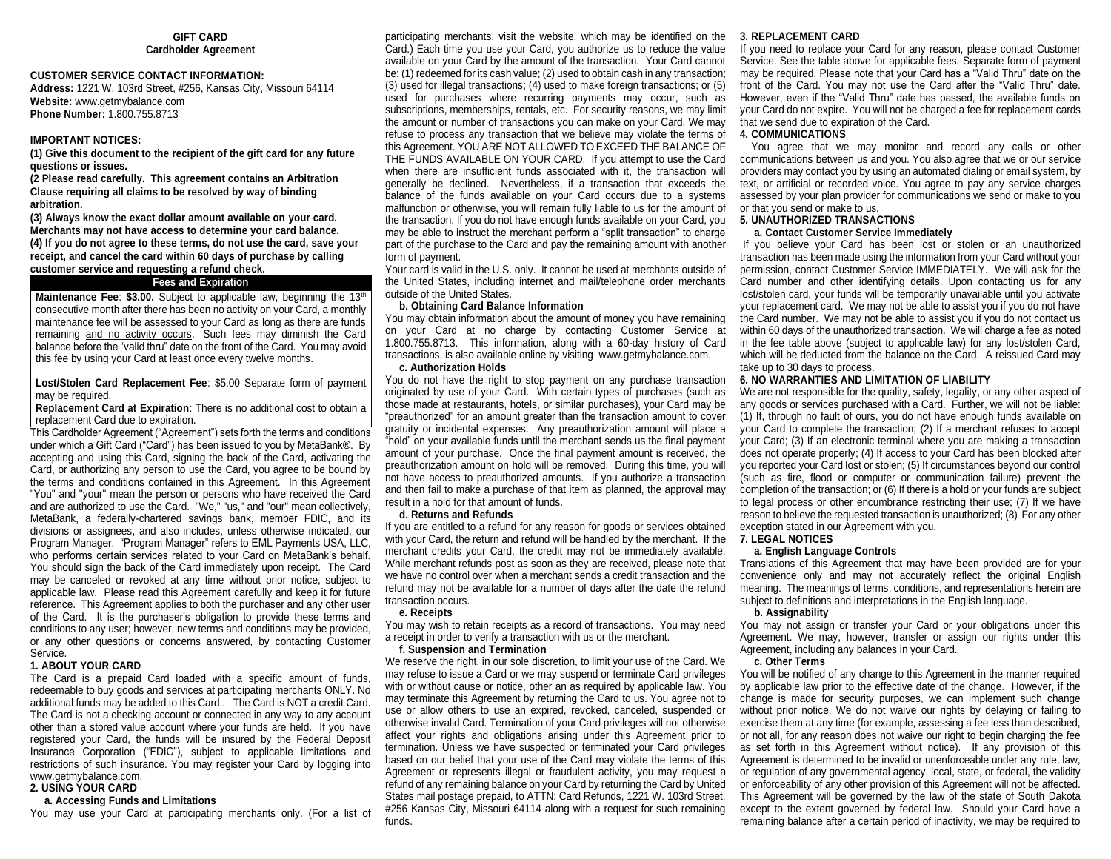## **GIFT CARD Cardholder Agreement**

## **CUSTOMER SERVICE CONTACT INFORMATION:**

**Address:** 1221 W. 103rd Street, #256, Kansas City, Missouri 64114 **Website:** www.getmybalance.com **Phone Number:** 1.800.755.8713

#### **IMPORTANT NOTICES:**

**(1) Give this document to the recipient of the gift card for any future questions or issues.**

**(2 Please read carefully. This agreement contains an Arbitration Clause requiring all claims to be resolved by way of binding arbitration.**

**(3) Always know the exact dollar amount available on your card. Merchants may not have access to determine your card balance. (4) If you do not agree to these terms, do not use the card, save your receipt, and cancel the card within 60 days of purchase by calling customer service and requesting a refund check.**

# **Fees and Expiration**

**Maintenance Fee: \$3.00.** Subject to applicable law, beginning the 13<sup>th</sup> consecutive month after there has been no activity on your Card, a monthly maintenance fee will be assessed to your Card as long as there are funds remaining and no activity occurs. Such fees may diminish the Card balance before the "valid thru" date on the front of the Card. You may avoid this fee by using your Card at least once every twelve months.

**Lost/Stolen Card Replacement Fee**: \$5.00 Separate form of payment may be required.

**Replacement Card at Expiration**: There is no additional cost to obtain a replacement Card due to expiration.

This Cardholder Agreement ("Agreement") sets forth the terms and conditions under which a Gift Card ("Card") has been issued to you by MetaBank®. By accepting and using this Card, signing the back of the Card, activating the Card, or authorizing any person to use the Card, you agree to be bound by the terms and conditions contained in this Agreement. In this Agreement "You" and "your" mean the person or persons who have received the Card and are authorized to use the Card. "We," "us," and "our" mean collectively, MetaBank, a federally-chartered savings bank, member FDIC, and its divisions or assignees, and also includes, unless otherwise indicated, our Program Manager. "Program Manager" refers to EML Payments USA, LLC, who performs certain services related to your Card on MetaBank's behalf. You should sign the back of the Card immediately upon receipt. The Card may be canceled or revoked at any time without prior notice, subject to applicable law. Please read this Agreement carefully and keep it for future reference. This Agreement applies to both the purchaser and any other user of the Card. It is the purchaser's obligation to provide these terms and conditions to any user; however, new terms and conditions may be provided, or any other questions or concerns answered, by contacting Customer Service.

## **1. ABOUT YOUR CARD**

The Card is a prepaid Card loaded with a specific amount of funds, redeemable to buy goods and services at participating merchants ONLY. No additional funds may be added to this Card.. The Card is NOT a credit Card. The Card is not a checking account or connected in any way to any account other than a stored value account where your funds are held. If you have registered your Card, the funds will be insured by the Federal Deposit Insurance Corporation ("FDIC"), subject to applicable limitations and restrictions of such insurance. You may register your Card by logging into www.getmybalance.com.

## **2. USING YOUR CARD**

#### **a. Accessing Funds and Limitations**

You may use your Card at participating merchants only. (For a list of

participating merchants, visit the website, which may be identified on the Card.) Each time you use your Card, you authorize us to reduce the value available on your Card by the amount of the transaction. Your Card cannot be: (1) redeemed for its cash value; (2) used to obtain cash in any transaction; (3) used for illegal transactions; (4) used to make foreign transactions; or (5) used for purchases where recurring payments may occur, such as subscriptions, memberships, rentals, etc. For security reasons, we may limit the amount or number of transactions you can make on your Card. We may refuse to process any transaction that we believe may violate the terms of this Agreement. YOU ARE NOT ALLOWED TO EXCEED THE BALANCE OF THE FUNDS AVAILABLE ON YOUR CARD. If you attempt to use the Card when there are insufficient funds associated with it, the transaction will generally be declined. Nevertheless, if a transaction that exceeds the balance of the funds available on your Card occurs due to a systems malfunction or otherwise, you will remain fully liable to us for the amount of the transaction. If you do not have enough funds available on your Card, you may be able to instruct the merchant perform a "split transaction" to charge part of the purchase to the Card and pay the remaining amount with another form of payment.

Your card is valid in the U.S. only. It cannot be used at merchants outside of the United States, including internet and mail/telephone order merchants outside of the United States.

#### **b. Obtaining Card Balance Information**

You may obtain information about the amount of money you have remaining on your Card at no charge by contacting Customer Service at 1.800.755.8713. This information, along with a 60-day history of Card transactions, is also available online by visiting www.getmybalance.com.

## **c. Authorization Holds**

You do not have the right to stop payment on any purchase transaction originated by use of your Card. With certain types of purchases (such as those made at restaurants, hotels, or similar purchases), your Card may be "preauthorized" for an amount greater than the transaction amount to cover gratuity or incidental expenses. Any preauthorization amount will place a "hold" on your available funds until the merchant sends us the final payment amount of your purchase. Once the final payment amount is received, the preauthorization amount on hold will be removed. During this time, you will not have access to preauthorized amounts. If you authorize a transaction and then fail to make a purchase of that item as planned, the approval may result in a hold for that amount of funds.

## **d. Returns and Refunds**

If you are entitled to a refund for any reason for goods or services obtained with your Card, the return and refund will be handled by the merchant. If the merchant credits your Card, the credit may not be immediately available. While merchant refunds post as soon as they are received, please note that we have no control over when a merchant sends a credit transaction and the refund may not be available for a number of days after the date the refund transaction occurs.

#### **e. Receipts**

You may wish to retain receipts as a record of transactions. You may need a receipt in order to verify a transaction with us or the merchant.

#### **f. Suspension and Termination**

We reserve the right, in our sole discretion, to limit your use of the Card. We may refuse to issue a Card or we may suspend or terminate Card privileges with or without cause or notice, other an as required by applicable law. You may terminate this Agreement by returning the Card to us. You agree not to use or allow others to use an expired, revoked, canceled, suspended or otherwise invalid Card. Termination of your Card privileges will not otherwise affect your rights and obligations arising under this Agreement prior to termination. Unless we have suspected or terminated your Card privileges based on our belief that your use of the Card may violate the terms of this Agreement or represents illegal or fraudulent activity, you may request a refund of any remaining balance on your Card by returning the Card by United States mail postage prepaid, to ATTN: Card Refunds, 1221 W. 103rd Street, #256 Kansas City, Missouri 64114 along with a request for such remaining funds.

#### **3. REPLACEMENT CARD**

If you need to replace your Card for any reason, please contact Customer Service. See the table above for applicable fees. Separate form of payment may be required. Please note that your Card has a "Valid Thru" date on the front of the Card. You may not use the Card after the "Valid Thru" date. However, even if the "Valid Thru" date has passed, the available funds on your Card do not expire. You will not be charged a fee for replacement cards that we send due to expiration of the Card.

#### **4. COMMUNICATIONS**

 You agree that we may monitor and record any calls or other communications between us and you. You also agree that we or our service providers may contact you by using an automated dialing or email system, by text, or artificial or recorded voice. You agree to pay any service charges assessed by your plan provider for communications we send or make to you or that you send or make to us.

#### **5. UNAUTHORIZED TRANSACTIONS**

## **a. Contact Customer Service Immediately**

If you believe your Card has been lost or stolen or an unauthorized transaction has been made using the information from your Card without your permission, contact Customer Service IMMEDIATELY. We will ask for the Card number and other identifying details. Upon contacting us for any lost/stolen card, your funds will be temporarily unavailable until you activate your replacement card. We may not be able to assist you if you do not have the Card number. We may not be able to assist you if you do not contact us within 60 days of the unauthorized transaction. We will charge a fee as noted in the fee table above (subject to applicable law) for any lost/stolen Card, which will be deducted from the balance on the Card. A reissued Card may take up to 30 days to process.

#### **6. NO WARRANTIES AND LIMITATION OF LIABILITY**

We are not responsible for the quality, safety, legality, or any other aspect of any goods or services purchased with a Card. Further, we will not be liable: (1) If, through no fault of ours, you do not have enough funds available on your Card to complete the transaction; (2) If a merchant refuses to accept your Card; (3) If an electronic terminal where you are making a transaction does not operate properly; (4) If access to your Card has been blocked after you reported your Card lost or stolen; (5) If circumstances beyond our control (such as fire, flood or computer or communication failure) prevent the completion of the transaction; or (6) If there is a hold or your funds are subject to legal process or other encumbrance restricting their use; (7) If we have reason to believe the requested transaction is unauthorized; (8) For any other exception stated in our Agreement with you.

#### **7. LEGAL NOTICES a. English Language Controls**

Translations of this Agreement that may have been provided are for your convenience only and may not accurately reflect the original English meaning. The meanings of terms, conditions, and representations herein are subject to definitions and interpretations in the English language.

#### **b. Assignability**

You may not assign or transfer your Card or your obligations under this Agreement. We may, however, transfer or assign our rights under this Agreement, including any balances in your Card.

#### **c. Other Terms**

You will be notified of any change to this Agreement in the manner required by applicable law prior to the effective date of the change. However, if the change is made for security purposes, we can implement such change without prior notice. We do not waive our rights by delaying or failing to exercise them at any time (for example, assessing a fee less than described, or not all, for any reason does not waive our right to begin charging the fee as set forth in this Agreement without notice). If any provision of this Agreement is determined to be invalid or unenforceable under any rule, law, or regulation of any governmental agency, local, state, or federal, the validity or enforceability of any other provision of this Agreement will not be affected. This Agreement will be governed by the law of the state of South Dakota except to the extent governed by federal law. Should your Card have a remaining balance after a certain period of inactivity, we may be required to